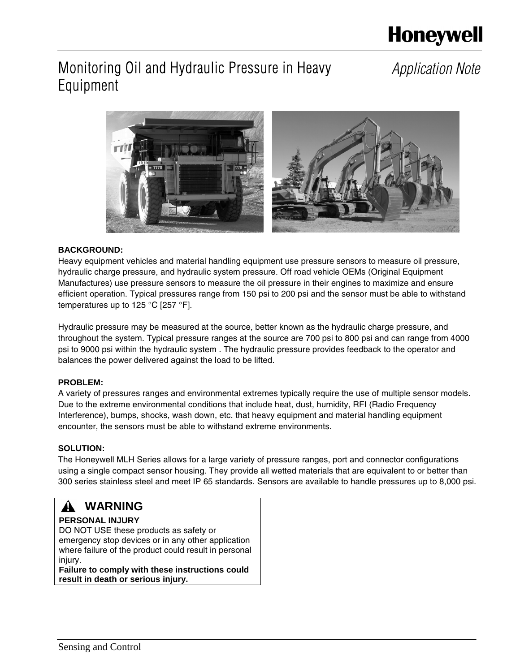# **Honeywell**

# Monitoring Oil and Hydraulic Pressure in Heavy Equipment

# *Application Note*



### **BACKGROUND:**

Heavy equipment vehicles and material handling equipment use pressure sensors to measure oil pressure, hydraulic charge pressure, and hydraulic system pressure. Off road vehicle OEMs (Original Equipment Manufactures) use pressure sensors to measure the oil pressure in their engines to maximize and ensure efficient operation. Typical pressures range from 150 psi to 200 psi and the sensor must be able to withstand temperatures up to 125 °C [257 °F].

Hydraulic pressure may be measured at the source, better known as the hydraulic charge pressure, and throughout the system. Typical pressure ranges at the source are 700 psi to 800 psi and can range from 4000 psi to 9000 psi within the hydraulic system . The hydraulic pressure provides feedback to the operator and balances the power delivered against the load to be lifted.

### **PROBLEM:**

A variety of pressures ranges and environmental extremes typically require the use of multiple sensor models. Due to the extreme environmental conditions that include heat, dust, humidity, RFI (Radio Frequency Interference), bumps, shocks, wash down, etc. that heavy equipment and material handling equipment encounter, the sensors must be able to withstand extreme environments.

### **SOLUTION:**

The Honeywell MLH Series allows for a large variety of pressure ranges, port and connector configurations using a single compact sensor housing. They provide all wetted materials that are equivalent to or better than 300 series stainless steel and meet IP 65 standards. Sensors are available to handle pressures up to 8,000 psi.

### **WARNING**

### **PERSONAL INJURY**

DO NOT USE these products as safety or emergency stop devices or in any other application where failure of the product could result in personal injury. **Failure to comply with these instructions could** 

**result in death or serious injury.**